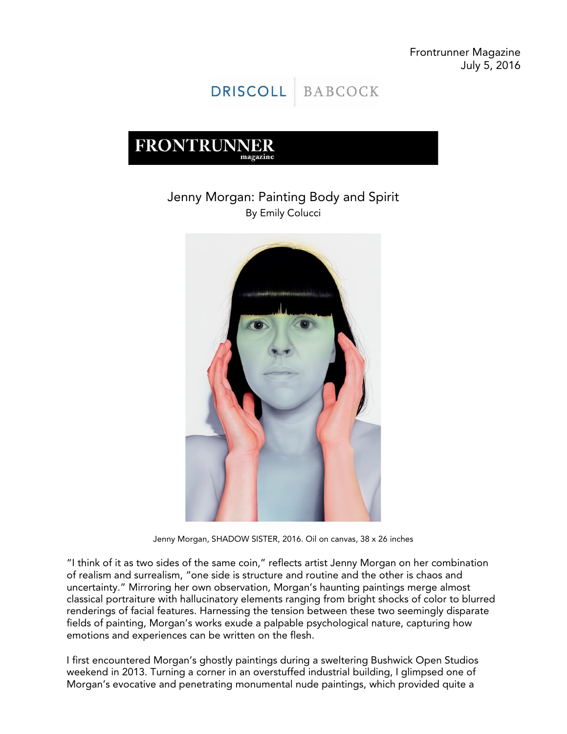Frontrunner Magazine July 5, 2016



# **FRONTRUNNER** magazine

# Jenny Morgan: Painting Body and Spirit By Emily Colucci



Jenny Morgan, SHADOW SISTER, 2016. Oil on canvas, 38 x 26 inches

"I think of it as two sides of the same coin," reflects artist Jenny Morgan on her combination of realism and surrealism, "one side is structure and routine and the other is chaos and uncertainty." Mirroring her own observation, Morgan's haunting paintings merge almost classical portraiture with hallucinatory elements ranging from bright shocks of color to blurred renderings of facial features. Harnessing the tension between these two seemingly disparate fields of painting, Morgan's works exude a palpable psychological nature, capturing how emotions and experiences can be written on the flesh.

I first encountered Morgan's ghostly paintings during a sweltering Bushwick Open Studios weekend in 2013. Turning a corner in an overstuffed industrial building, I glimpsed one of Morgan's evocative and penetrating monumental nude paintings, which provided quite a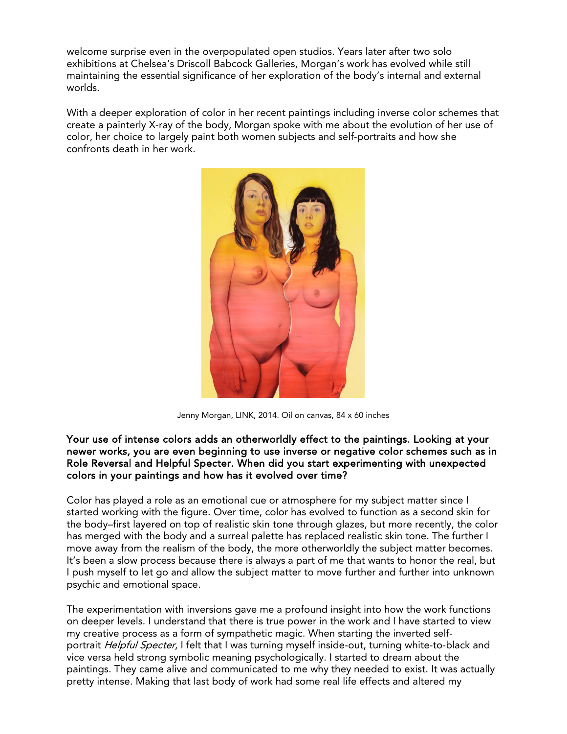welcome surprise even in the overpopulated open studios. Years later after two solo exhibitions at Chelsea's Driscoll Babcock Galleries, Morgan's work has evolved while still maintaining the essential significance of her exploration of the body's internal and external worlds.

With a deeper exploration of color in her recent paintings including inverse color schemes that create a painterly X-ray of the body, Morgan spoke with me about the evolution of her use of color, her choice to largely paint both women subjects and self-portraits and how she confronts death in her work.



Jenny Morgan, LINK, 2014. Oil on canvas, 84 x 60 inches

#### Your use of intense colors adds an otherworldly effect to the paintings. Looking at your newer works, you are even beginning to use inverse or negative color schemes such as in Role Reversal and Helpful Specter. When did you start experimenting with unexpected colors in your paintings and how has it evolved over time?

Color has played a role as an emotional cue or atmosphere for my subject matter since I started working with the figure. Over time, color has evolved to function as a second skin for the body–first layered on top of realistic skin tone through glazes, but more recently, the color has merged with the body and a surreal palette has replaced realistic skin tone. The further I move away from the realism of the body, the more otherworldly the subject matter becomes. It's been a slow process because there is always a part of me that wants to honor the real, but I push myself to let go and allow the subject matter to move further and further into unknown psychic and emotional space.

The experimentation with inversions gave me a profound insight into how the work functions on deeper levels. I understand that there is true power in the work and I have started to view my creative process as a form of sympathetic magic. When starting the inverted selfportrait Helpful Specter, I felt that I was turning myself inside-out, turning white-to-black and vice versa held strong symbolic meaning psychologically. I started to dream about the paintings. They came alive and communicated to me why they needed to exist. It was actually pretty intense. Making that last body of work had some real life effects and altered my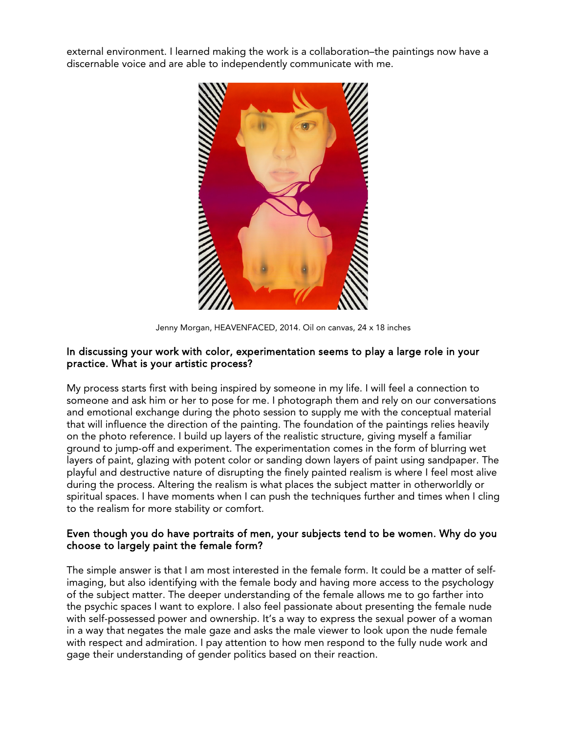external environment. I learned making the work is a collaboration–the paintings now have a discernable voice and are able to independently communicate with me.



Jenny Morgan, HEAVENFACED, 2014. Oil on canvas, 24 x 18 inches

### In discussing your work with color, experimentation seems to play a large role in your practice. What is your artistic process?

My process starts first with being inspired by someone in my life. I will feel a connection to someone and ask him or her to pose for me. I photograph them and rely on our conversations and emotional exchange during the photo session to supply me with the conceptual material that will influence the direction of the painting. The foundation of the paintings relies heavily on the photo reference. I build up layers of the realistic structure, giving myself a familiar ground to jump-off and experiment. The experimentation comes in the form of blurring wet layers of paint, glazing with potent color or sanding down layers of paint using sandpaper. The playful and destructive nature of disrupting the finely painted realism is where I feel most alive during the process. Altering the realism is what places the subject matter in otherworldly or spiritual spaces. I have moments when I can push the techniques further and times when I cling to the realism for more stability or comfort.

### Even though you do have portraits of men, your subjects tend to be women. Why do you choose to largely paint the female form?

The simple answer is that I am most interested in the female form. It could be a matter of selfimaging, but also identifying with the female body and having more access to the psychology of the subject matter. The deeper understanding of the female allows me to go farther into the psychic spaces I want to explore. I also feel passionate about presenting the female nude with self-possessed power and ownership. It's a way to express the sexual power of a woman in a way that negates the male gaze and asks the male viewer to look upon the nude female with respect and admiration. I pay attention to how men respond to the fully nude work and gage their understanding of gender politics based on their reaction.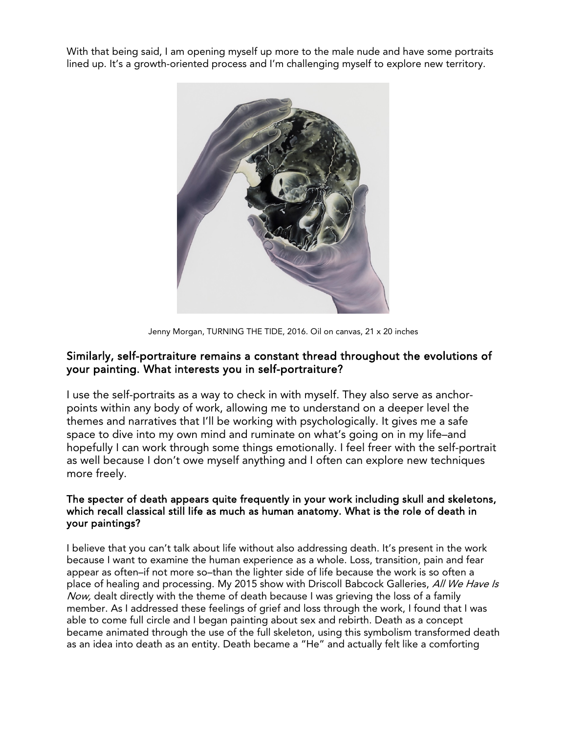With that being said, I am opening myself up more to the male nude and have some portraits lined up. It's a growth-oriented process and I'm challenging myself to explore new territory.



Jenny Morgan, TURNING THE TIDE, 2016. Oil on canvas, 21 x 20 inches

## Similarly, self-portraiture remains a constant thread throughout the evolutions of your painting. What interests you in self-portraiture?

I use the self-portraits as a way to check in with myself. They also serve as anchorpoints within any body of work, allowing me to understand on a deeper level the themes and narratives that I'll be working with psychologically. It gives me a safe space to dive into my own mind and ruminate on what's going on in my life–and hopefully I can work through some things emotionally. I feel freer with the self-portrait as well because I don't owe myself anything and I often can explore new techniques more freely.

### The specter of death appears quite frequently in your work including skull and skeletons, which recall classical still life as much as human anatomy. What is the role of death in your paintings?

I believe that you can't talk about life without also addressing death. It's present in the work because I want to examine the human experience as a whole. Loss, transition, pain and fear appear as often–if not more so–than the lighter side of life because the work is so often a place of healing and processing. My 2015 show with Driscoll Babcock Galleries, All We Have Is Now, dealt directly with the theme of death because I was grieving the loss of a family member. As I addressed these feelings of grief and loss through the work, I found that I was able to come full circle and I began painting about sex and rebirth. Death as a concept became animated through the use of the full skeleton, using this symbolism transformed death as an idea into death as an entity. Death became a "He" and actually felt like a comforting